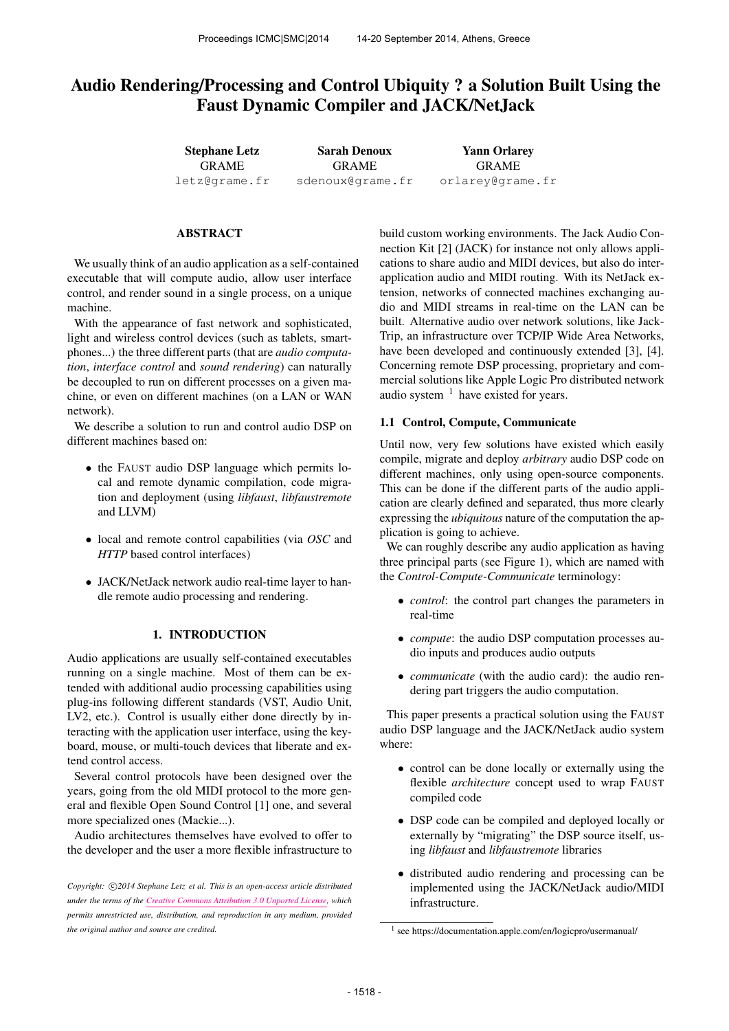# Audio Rendering/Processing and Control Ubiquity ? a Solution Built Using the Faust Dynamic Compiler and JACK/NetJack

| <b>Stephane Letz</b> | <b>Sarah Denoux</b> | <b>Yann Orlarey</b> |  |
|----------------------|---------------------|---------------------|--|
| <b>GRAME</b>         | <b>GRAME</b>        | <b>GRAME</b>        |  |
| letz@grame.fr        | sdenoux@grame.fr    | orlarey@grame.fr    |  |

### ABSTRACT

We usually think of an audio application as a self-contained executable that will compute audio, allow user interface control, and render sound in a single process, on a unique machine.

With the appearance of fast network and sophisticated, light and wireless control devices (such as tablets, smartphones...) the three different parts (that are *audio computation*, *interface control* and *sound rendering*) can naturally be decoupled to run on different processes on a given machine, or even on different machines (on a LAN or WAN network).

We describe a solution to run and control audio DSP on different machines based on:

- the FAUST audio DSP language which permits local and remote dynamic compilation, code migration and deployment (using *libfaust*, *libfaustremote* and LLVM)
- local and remote control capabilities (via *OSC* and *HTTP* based control interfaces)
- JACK/NetJack network audio real-time layer to handle remote audio processing and rendering.

### 1. INTRODUCTION

Audio applications are usually self-contained executables running on a single machine. Most of them can be extended with additional audio processing capabilities using plug-ins following different standards (VST, Audio Unit, LV2, etc.). Control is usually either done directly by interacting with the application user interface, using the keyboard, mouse, or multi-touch devices that liberate and extend control access.

Several control protocols have been designed over the years, going from the old MIDI protocol to the more general and flexible Open Sound Control [1] one, and several more specialized ones (Mackie...).

Audio architectures themselves have evolved to offer to the developer and the user a more flexible infrastructure to build custom working environments. The Jack Audio Connection Kit [2] (JACK) for instance not only allows applications to share audio and MIDI devices, but also do interapplication audio and MIDI routing. With its NetJack extension, networks of connected machines exchanging audio and MIDI streams in real-time on the LAN can be built. Alternative audio over network solutions, like Jack-Trip, an infrastructure over TCP/IP Wide Area Networks, have been developed and continuously extended [3], [4]. Concerning remote DSP processing, proprietary and commercial solutions like Apple Logic Pro distributed network audio system  $<sup>1</sup>$  have existed for years.</sup>

### 1.1 Control, Compute, Communicate

Until now, very few solutions have existed which easily compile, migrate and deploy *arbitrary* audio DSP code on different machines, only using open-source components. This can be done if the different parts of the audio application are clearly defined and separated, thus more clearly expressing the *ubiquitous* nature of the computation the application is going to achieve.

We can roughly describe any audio application as having three principal parts (see Figure 1), which are named with the *Control-Compute-Communicate* terminology:

- *control*: the control part changes the parameters in real-time
- *compute*: the audio DSP computation processes audio inputs and produces audio outputs
- *communicate* (with the audio card): the audio rendering part triggers the audio computation.

This paper presents a practical solution using the FAUST audio DSP language and the JACK/NetJack audio system where:

- control can be done locally or externally using the flexible *architecture* concept used to wrap FAUST compiled code
- DSP code can be compiled and deployed locally or externally by "migrating" the DSP source itself, using *libfaust* and *libfaustremote* libraries
- distributed audio rendering and processing can be implemented using the JACK/NetJack audio/MIDI infrastructure.

Copyright:  $\bigcirc$ 2014 Stephane Letz et al. This is an open-access article distributed *under the terms of the [Creative Commons Attribution 3.0 Unported License,](http://creativecommons.org/licenses/by/3.0/) which permits unrestricted use, distribution, and reproduction in any medium, provided the original author and source are credited.*

<sup>&</sup>lt;sup>1</sup> see https://documentation.apple.com/en/logicpro/usermanual/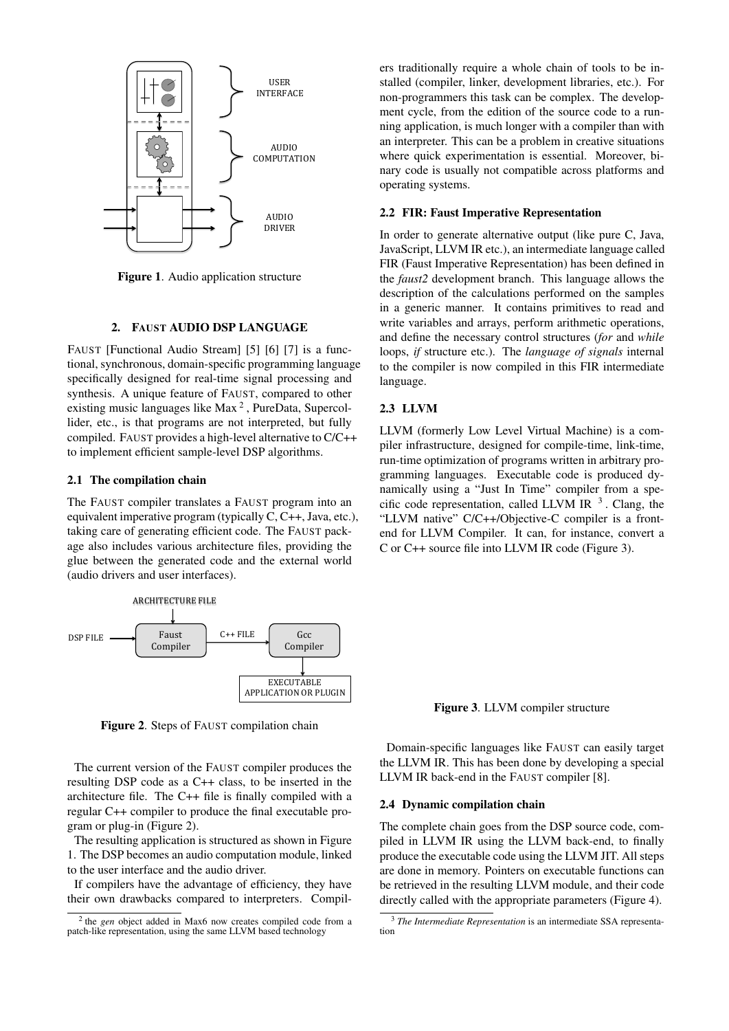

Figure 1. Audio application structure

### 2. FAUST AUDIO DSP LANGUAGE

FAUST [Functional Audio Stream] [5] [6] [7] is a functional, synchronous, domain-specific programming language specifically designed for real-time signal processing and synthesis. A unique feature of FAUST, compared to other existing music languages like Max<sup>2</sup>, PureData, Supercollider, etc., is that programs are not interpreted, but fully compiled. FAUST provides a high-level alternative to C/C++ to implement efficient sample-level DSP algorithms.

#### 2.1 The compilation chain

The FAUST compiler translates a FAUST program into an equivalent imperative program (typically  $C, C_{++},$  Java, etc.), taking care of generating efficient code. The FAUST package also includes various architecture files, providing the glue between the generated code and the external world (audio drivers and user interfaces).



Figure 2. Steps of FAUST compilation chain

The current version of the FAUST compiler produces the resulting DSP code as a C++ class, to be inserted in the architecture file. The C++ file is finally compiled with a regular C++ compiler to produce the final executable program or plug-in (Figure 2).

The resulting application is structured as shown in Figure 1. The DSP becomes an audio computation module, linked to the user interface and the audio driver.

If compilers have the advantage of efficiency, they have their own drawbacks compared to interpreters. Compilers traditionally require a whole chain of tools to be installed (compiler, linker, development libraries, etc.). For non-programmers this task can be complex. The development cycle, from the edition of the source code to a running application, is much longer with a compiler than with an interpreter. This can be a problem in creative situations where quick experimentation is essential. Moreover, binary code is usually not compatible across platforms and operating systems.

#### 2.2 FIR: Faust Imperative Representation

In order to generate alternative output (like pure C, Java, JavaScript, LLVM IR etc.), an intermediate language called FIR (Faust Imperative Representation) has been defined in the *faust*2 development branch. This language allows the description of the calculations performed on the samples in a generic manner. It contains primitives to read and write variables and arrays, perform arithmetic operations, and define the necessary control structures (for and while loops, if structure etc.). The language of signals internal to the compiler is now compiled in this FIR intermediate language.

# **2.3 LLVM**

LLVM (formerly Low Level Virtual Machine) is a compiler infrastructure, designed for compile-time, link-time, run-time optimization of programs written in arbitrary programming languages. Executable code is produced dynamically using a "Just In Time" compiler from a specific code representation, called LLVM IR  $^3$ . Clang, the "LLVM native" C/C++/Objective-C compiler is a frontend for LLVM Compiler. It can, for instance, convert a C or C++ source file into LLVM IR code (Figure 3).

Figure 3. LLVM compiler structure

Domain-specific languages like FAUST can easily target the LLVM IR. This has been done by developing a special LLVM IR back-end in the FAUST compiler [8].

#### 2.4 Dynamic compilation chain

The complete chain goes from the DSP source code, compiled in LLVM IR using the LLVM back-end, to finally produce the executable code using the LLVM JIT. All steps are done in memory. Pointers on executable functions can be retrieved in the resulting LLVM module, and their code directly called with the appropriate parameters (Figure 4).

 $2$  the *gen* object added in Max6 now creates compiled code from a patch-like representation, using the same LLVM based technology

<sup>&</sup>lt;sup>3</sup> The Intermediate Representation is an intermediate SSA representation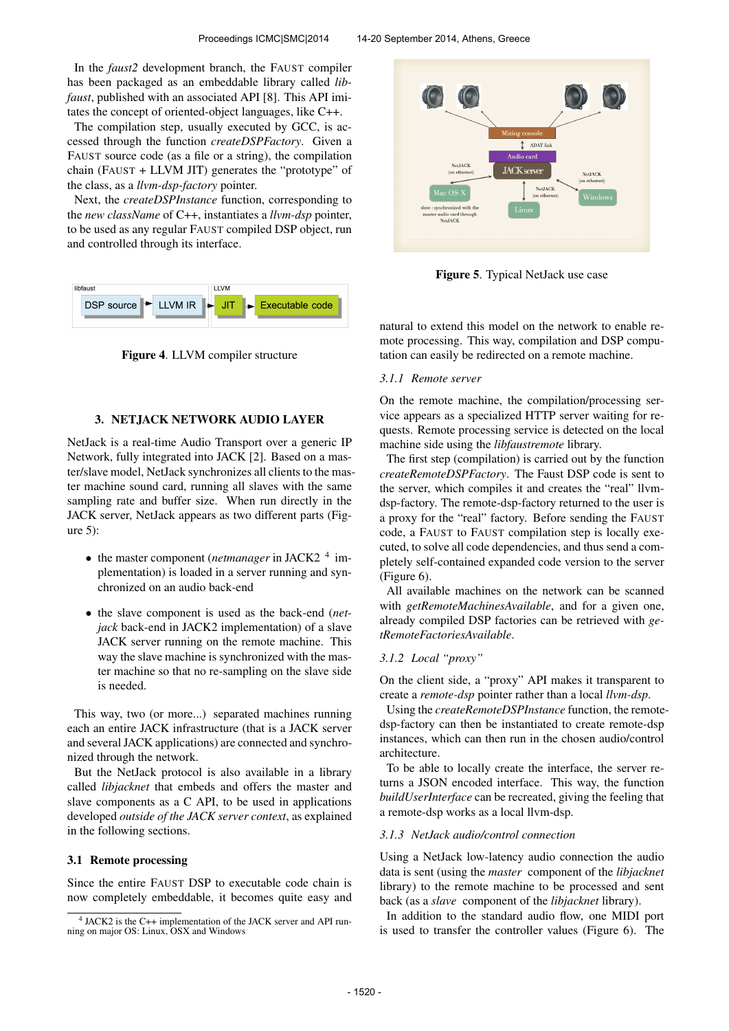In the *faust2* development branch, the FAUST compiler has been packaged as an embeddable library called *libfaust*, published with an associated API [8]. This API imitates the concept of oriented-object languages, like C++.

The compilation step, usually executed by GCC, is accessed through the function *createDSPFactory*. Given a FAUST source code (as a file or a string), the compilation chain (FAUST + LLVM JIT) generates the "prototype" of the class, as a *llvm-dsp-factory* pointer.

Next, the *createDSPInstance* function, corresponding to the *new className* of C++, instantiates a *llvm-dsp* pointer, to be used as any regular FAUST compiled DSP object, run and controlled through its interface.



Figure 4. LLVM compiler structure

#### 3. NETJACK NETWORK AUDIO LAYER

NetJack is a real-time Audio Transport over a generic IP Network, fully integrated into JACK [2]. Based on a master/slave model, NetJack synchronizes all clients to the master machine sound card, running all slaves with the same sampling rate and buffer size. When run directly in the JACK server, NetJack appears as two different parts (Figure 5):

- the master component (*netmanager* in JACK2<sup>4</sup> implementation) is loaded in a server running and synchronized on an audio back-end
- the slave component is used as the back-end (*netjack* back-end in JACK2 implementation) of a slave JACK server running on the remote machine. This way the slave machine is synchronized with the master machine so that no re-sampling on the slave side is needed.

This way, two (or more...) separated machines running each an entire JACK infrastructure (that is a JACK server and several JACK applications) are connected and synchronized through the network.

But the NetJack protocol is also available in a library called *libjacknet* that embeds and offers the master and slave components as a C API, to be used in applications developed *outside of the JACK server context*, as explained in the following sections.

#### 3.1 Remote processing

Since the entire FAUST DSP to executable code chain is now completely embeddable, it becomes quite easy and



Figure 5. Typical NetJack use case

natural to extend this model on the network to enable remote processing. This way, compilation and DSP computation can easily be redirected on a remote machine.

#### *3.1.1 Remote server*

On the remote machine, the compilation/processing service appears as a specialized HTTP server waiting for requests. Remote processing service is detected on the local machine side using the *libfaustremote* library.

The first step (compilation) is carried out by the function *createRemoteDSPFactory*. The Faust DSP code is sent to the server, which compiles it and creates the "real" llvmdsp-factory. The remote-dsp-factory returned to the user is a proxy for the "real" factory. Before sending the FAUST code, a FAUST to FAUST compilation step is locally executed, to solve all code dependencies, and thus send a completely self-contained expanded code version to the server (Figure 6).

All available machines on the network can be scanned with *getRemoteMachinesAvailable*, and for a given one, already compiled DSP factories can be retrieved with *getRemoteFactoriesAvailable*.

#### *3.1.2 Local "proxy"*

On the client side, a "proxy" API makes it transparent to create a *remote-dsp* pointer rather than a local *llvm-dsp*.

Using the *createRemoteDSPInstance* function, the remotedsp-factory can then be instantiated to create remote-dsp instances, which can then run in the chosen audio/control architecture.

To be able to locally create the interface, the server returns a JSON encoded interface. This way, the function *buildUserInterface* can be recreated, giving the feeling that a remote-dsp works as a local llvm-dsp.

#### *3.1.3 NetJack audio/control connection*

Using a NetJack low-latency audio connection the audio data is sent (using the *master* component of the *libjacknet* library) to the remote machine to be processed and sent back (as a *slave* component of the *libjacknet* library).

In addition to the standard audio flow, one MIDI port is used to transfer the controller values (Figure 6). The

<sup>4</sup> JACK2 is the C++ implementation of the JACK server and API running on major OS: Linux, OSX and Windows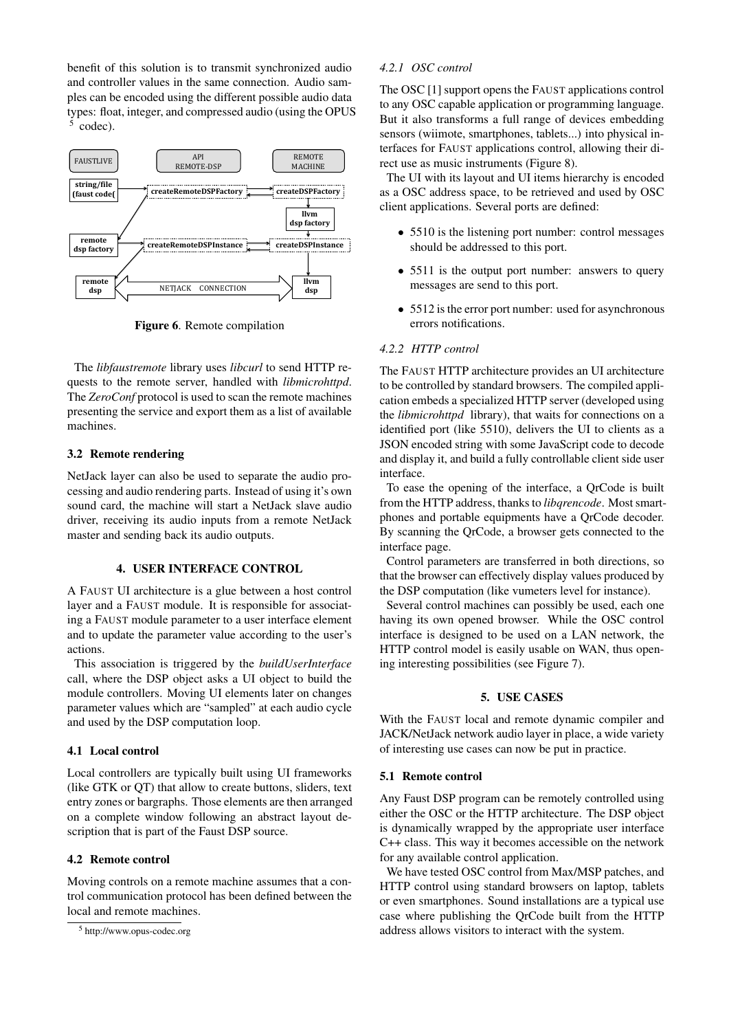benefit of this solution is to transmit synchronized audio and controller values in the same connection. Audio samples can be encoded using the different possible audio data types: float, integer, and compressed audio (using the OPUS 5 codec).



Figure 6. Remote compilation

The *libfaustremote* library uses *libcurl* to send HTTP requests to the remote server, handled with *libmicrohttpd*. The *ZeroConf* protocol is used to scan the remote machines presenting the service and export them as a list of available machines.

### 3.2 Remote rendering

NetJack layer can also be used to separate the audio processing and audio rendering parts. Instead of using it's own sound card, the machine will start a NetJack slave audio driver, receiving its audio inputs from a remote NetJack master and sending back its audio outputs.

### 4. USER INTERFACE CONTROL

A FAUST UI architecture is a glue between a host control layer and a FAUST module. It is responsible for associating a FAUST module parameter to a user interface element and to update the parameter value according to the user's actions.

This association is triggered by the *buildUserInterface* call, where the DSP object asks a UI object to build the module controllers. Moving UI elements later on changes parameter values which are "sampled" at each audio cycle and used by the DSP computation loop.

#### 4.1 Local control

Local controllers are typically built using UI frameworks (like GTK or QT) that allow to create buttons, sliders, text entry zones or bargraphs. Those elements are then arranged on a complete window following an abstract layout description that is part of the Faust DSP source.

### 4.2 Remote control

Moving controls on a remote machine assumes that a control communication protocol has been defined between the local and remote machines.

#### *4.2.1 OSC control*

The OSC [1] support opens the FAUST applications control to any OSC capable application or programming language. But it also transforms a full range of devices embedding sensors (wiimote, smartphones, tablets...) into physical interfaces for FAUST applications control, allowing their direct use as music instruments (Figure 8).

The UI with its layout and UI items hierarchy is encoded as a OSC address space, to be retrieved and used by OSC client applications. Several ports are defined:

- 5510 is the listening port number: control messages should be addressed to this port.
- 5511 is the output port number: answers to query messages are send to this port.
- 5512 is the error port number: used for asynchronous errors notifications.

# *4.2.2 HTTP control*

The FAUST HTTP architecture provides an UI architecture to be controlled by standard browsers. The compiled application embeds a specialized HTTP server (developed using the *libmicrohttpd* library), that waits for connections on a identified port (like 5510), delivers the UI to clients as a JSON encoded string with some JavaScript code to decode and display it, and build a fully controllable client side user interface.

To ease the opening of the interface, a QrCode is built from the HTTP address, thanks to *libqrencode*. Most smartphones and portable equipments have a QrCode decoder. By scanning the QrCode, a browser gets connected to the interface page.

Control parameters are transferred in both directions, so that the browser can effectively display values produced by the DSP computation (like vumeters level for instance).

Several control machines can possibly be used, each one having its own opened browser. While the OSC control interface is designed to be used on a LAN network, the HTTP control model is easily usable on WAN, thus opening interesting possibilities (see Figure 7).

#### 5. USE CASES

With the FAUST local and remote dynamic compiler and JACK/NetJack network audio layer in place, a wide variety of interesting use cases can now be put in practice.

#### 5.1 Remote control

Any Faust DSP program can be remotely controlled using either the OSC or the HTTP architecture. The DSP object is dynamically wrapped by the appropriate user interface C++ class. This way it becomes accessible on the network for any available control application.

We have tested OSC control from Max/MSP patches, and HTTP control using standard browsers on laptop, tablets or even smartphones. Sound installations are a typical use case where publishing the QrCode built from the HTTP address allows visitors to interact with the system.

<sup>5</sup> http://www.opus-codec.org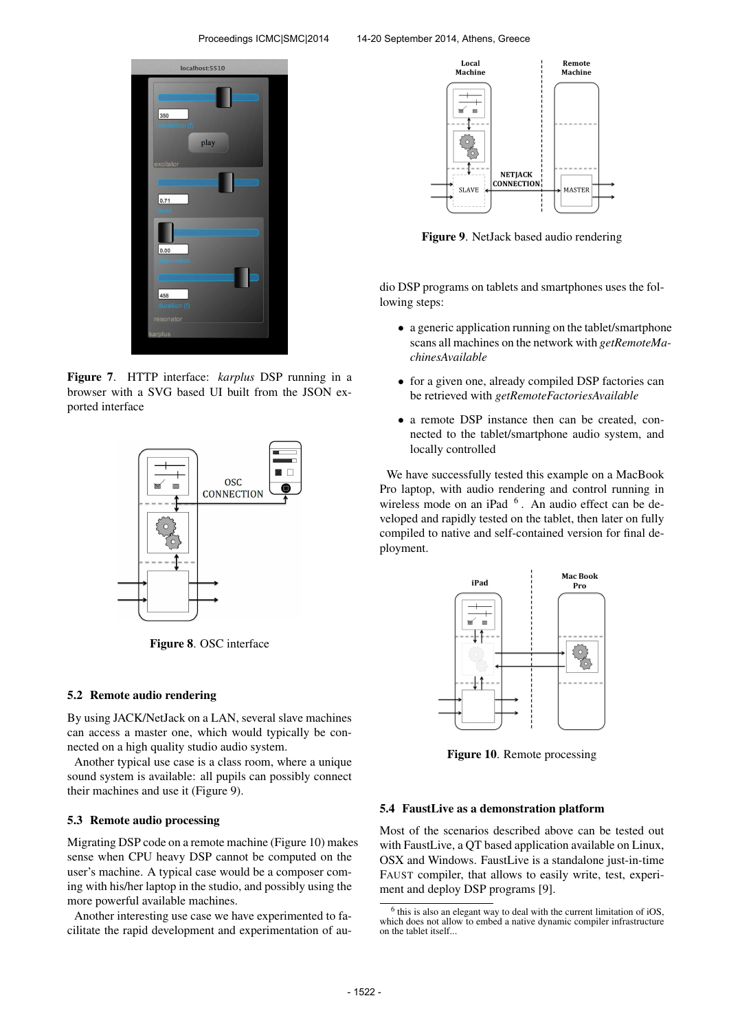

Figure 7. HTTP interface: *karplus* DSP running in a browser with a SVG based UI built from the JSON exported interface



Figure 8. OSC interface

#### 5.2 Remote audio rendering

By using JACK/NetJack on a LAN, several slave machines can access a master one, which would typically be connected on a high quality studio audio system.

Another typical use case is a class room, where a unique sound system is available: all pupils can possibly connect their machines and use it (Figure 9).

### 5.3 Remote audio processing

Migrating DSP code on a remote machine (Figure 10) makes sense when CPU heavy DSP cannot be computed on the user's machine. A typical case would be a composer coming with his/her laptop in the studio, and possibly using the more powerful available machines.

Another interesting use case we have experimented to facilitate the rapid development and experimentation of au-



Figure 9. NetJack based audio rendering

dio DSP programs on tablets and smartphones uses the following steps:

- a generic application running on the tablet/smartphone scans all machines on the network with *getRemoteMachinesAvailable*
- for a given one, already compiled DSP factories can be retrieved with *getRemoteFactoriesAvailable*
- a remote DSP instance then can be created, connected to the tablet/smartphone audio system, and locally controlled

We have successfully tested this example on a MacBook Pro laptop, with audio rendering and control running in wireless mode on an iPad  $<sup>6</sup>$ . An audio effect can be de-</sup> veloped and rapidly tested on the tablet, then later on fully compiled to native and self-contained version for final deployment.



Figure 10. Remote processing

### 5.4 FaustLive as a demonstration platform

Most of the scenarios described above can be tested out with FaustLive, a QT based application available on Linux, OSX and Windows. FaustLive is a standalone just-in-time FAUST compiler, that allows to easily write, test, experiment and deploy DSP programs [9].

<sup>&</sup>lt;sup>6</sup> this is also an elegant way to deal with the current limitation of iOS, which does not allow to embed a native dynamic compiler infrastructure on the tablet itself...